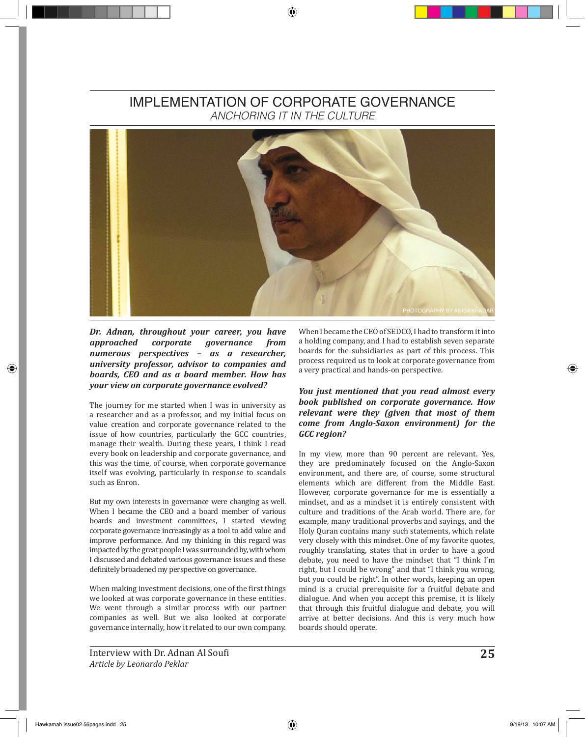## IMPLEMENTATION OF CORPORATE GOVERNANCE *ANCHORING IT IN THE CULTURE*



*approached corporate governance from numerous perspectives – as a researcher, university professor, advisor to companies and boards, CEO and as a board member. How has your view on corporate governance evolved?*

The journey for me started when I was in university as a researcher and as a professor, and my initial focus on value creation and corporate governance related to the issue of how countries, particularly the GCC countries, manage their wealth. During these years, I think I read every book on leadership and corporate governance, and this was the time, of course, when corporate governance itself was evolving, particularly in response to scandals such as Enron.

But my own interests in governance were changing as well. When I became the CEO and a board member of various boards and investment committees, I started viewing corporate governance increasingly as a tool to add value and improve performance. And my thinking in this regard was impacted by the great people I was surrounded by, with whom I discussed and debated various governance issues and these definitely broadened my perspective on governance.

When making investment decisions, one of the first things we looked at was corporate governance in these entities. We went through a similar process with our partner companies as well. But we also looked at corporate governance internally, how it related to our own company.

When I became the CEO of SEDCO, I had to transform it into a holding company, and I had to establish seven separate boards for the subsidiaries as part of this process. This process required us to look at corporate governance from a very practical and hands-on perspective.

## *You just mentioned that you read almost every book published on corporate governance. How relevant were they (given that most of them come from Anglo-Saxon environment) for the GCC region?*

In my view, more than 90 percent are relevant. Yes, they are predominately focused on the Anglo-Saxon environment, and there are, of course, some structural elements which are different from the Middle East. However, corporate governance for me is essentially a mindset, and as a mindset it is entirely consistent with culture and traditions of the Arab world. There are, for example, many traditional proverbs and sayings, and the Holy Quran contains many such statements, which relate very closely with this mindset. One of my favorite quotes, roughly translating, states that in order to have a good debate, you need to have the mindset that "I think I'm right, but I could be wrong" and that "I think you wrong, but you could be right". In other words, keeping an open mind is a crucial prerequisite for a fruitful debate and dialogue. And when you accept this premise, it is likely that through this fruitful dialogue and debate, you will arrive at better decisions. And this is very much how boards should operate.